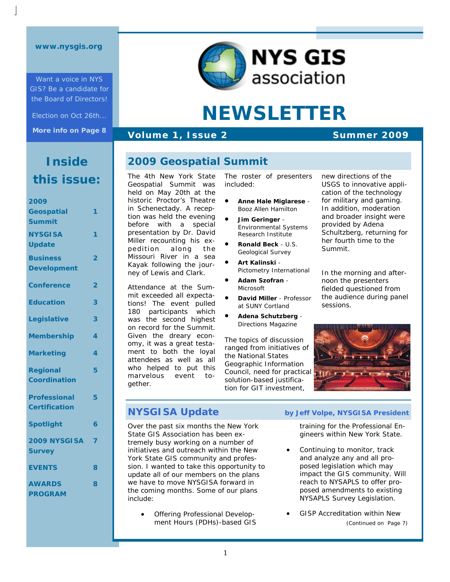Want a voice in NYS GIS? Be a candidate for the Board of Directors!

Election on Oct 26th... **More info on Page 8**  **NYS GIS** association

# **NEWSLETTER**

#### **Volume 1, Issue 2** Summer 2009

**2009 Geospatial Summit** 

## **Inside this issue:**

| 2009                 |   |
|----------------------|---|
| Geospatial           | 1 |
| <b>Summit</b>        |   |
| <b>NYSGISA</b>       | 1 |
| <b>Update</b>        |   |
| <b>Business</b>      | 2 |
| <b>Development</b>   |   |
| <b>Conference</b>    | 2 |
| <b>Education</b>     | 3 |
| Legislative          | 3 |
| <b>Membership</b>    | 4 |
| <b>Marketing</b>     | 4 |
| <b>Regional</b>      | 5 |
| <b>Coordination</b>  |   |
| <b>Professional</b>  | 5 |
| <b>Certification</b> |   |
| <b>Spotlight</b>     | 6 |
| 2009 NYSGISA         | 7 |
| <b>Survey</b>        |   |
| <b>EVENTS</b>        | 8 |
| <b>AWARDS</b>        | 8 |
| <b>PROGRAM</b>       |   |

The 4th New York State Geospatial Summit was held on May 20th at the historic Proctor's Theatre in Schenectady. A reception was held the evening before with a special presentation by Dr. David Miller recounting his expedition along the Missouri River in a sea Kayak following the journey of Lewis and Clark.

Attendance at the Summit exceeded all expectations! The event pulled 180 participants which was the second highest on record for the Summit. Given the dreary economy, it was a great testament to both the loyal attendees as well as all who helped to put this marvelous event together.

The roster of presenters included:

- **Anne Hale Miglarese** *Booz Allen Hamilton*
- **Jim Geringer** *Environmental Systems Research Institute*
- **Summit Attendees Ronald Beck** *U.S. Geological Survey* 
	- **Art Kalinski** *Pictometry International*
- **Adam Szofran** *Microsoft*
- **David Miller** *Professor at SUNY Cortland*
- **Adena Schutzberg** *Directions Magazine*

The topics of discussion ranged from initiatives of the National States Geographic Information Council, need for practical solution-based justification for GIT investment,

new directions of the USGS to innovative application of the technology for military and gaming. In addition, moderation and broader insight were provided by Adena Schultzberg, returning for her fourth time to the Summit.

In the morning and afternoon the presenters fielded questioned from the audience during panel sessions.



Over the past six months the New York State GIS Association has been extremely busy working on a number of initiatives and outreach within the New York State GIS community and profession. I wanted to take this opportunity to update all of our members on the plans we have to move NYSGISA forward in the coming months. Some of our plans include:

> • Offering Professional Development Hours (PDHs)-based GIS

#### **NYSGISA Update** by Jeff Volpe, NYSGISA President

training for the Professional Engineers within New York State.

- Continuing to monitor, track and analyze any and all proposed legislation which may impact the GIS community. Will reach to NYSAPLS to offer proposed amendments to existing NYSAPLS Survey Legislation.
- GISP Accreditation within New *(Continued on Page 7)*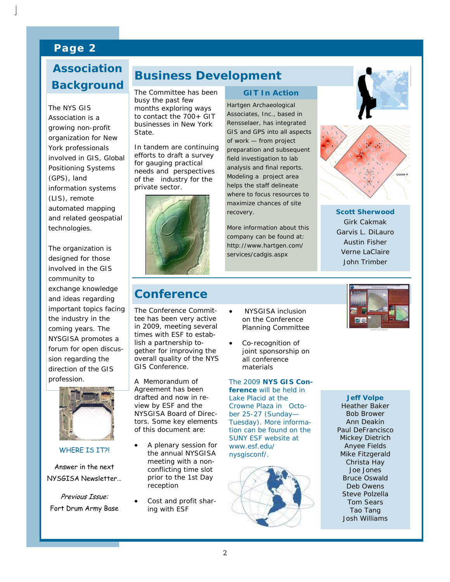### **Page 2**

# **Why Background Association**

The NYS GIS<br>Association is a organization for New vork professionals involved in GIS, Global  $\frac{1}{2}$ Positioning Systems information systems (LIS), remote automated mapping technologies. The NYS GIS growing non-profit (GPS), land and related geospatial

The organization is involved in the GIS community to  $\frac{1}{2}$  correction correction  $\frac{1}{2}$ exchange knowledge and ideas regarding the industry in the coming years. The NYSGISA promotes a sion regarding the direction of the GIS profession. designed for those important topics facing forum for open discus-



WHERE IS IT?!

Answer in the next NYSGISA Newsletter…

Previous Issue: Fort Drum Army Base

### **Business Development**

The Committee has been busy the past few months exploring ways to contact the 700+ GIT businesses in New York State.

In tandem are continuing efforts to draft a survey for gauging practical needs and perspectives of the industry for the private sector.



#### **GIT In Action**

Hartgen Archaeological Associates, Inc., based in Rensselaer, has integrated GIS and GPS into all aspects of work — from project preparation and subsequent field investigation to lab analysis and final reports. Modeling a project area helps the staff delineate where to focus resources to maximize chances of site recovery.

*More information about this company can be found at: http://www.hartgen.com/ services/cadgis.aspx* 





**Scott Sherwood**  Girk Cakmak Garvis L. DiLauro Austin Fisher Verne LaClaire John Trimber

### **Conference**

The Conference Committee has been very active in 2009, meeting several times with ESF to establish a partnership together for improving the overall quality of the NYS GIS Conference.

A Memorandum of Agreement has been drafted and now in review by ESF and the NYSGISA Board of Directors. Some key elements of this document are:

- A plenary session for the annual NYSGISA meeting with a nonconflicting time slot prior to the 1st Day reception
- Cost and profit sharing with ESF
- NYSGISA inclusion on the Conference Planning Committee
- Co-recognition of joint sponsorship on all conference materials

The 2009 **NYS GIS Con-**

**ference** will be held in Lake Placid at the Crowne Plaza in October 25-27 (Sunday— Tuesday). More information can be found on the SUNY ESF website at *www.esf.edu/ nysgisconf/*.





#### **Jeff Volpe**  Heather Baker

Bob Brower Ann Deakin Paul DeFrancisco Mickey Dietrich Anyee Fields Mike Fitzgerald Christa Hay Joe Jones Bruce Oswald Deb Owens Steve Polzella Tom Sears Tao Tang Josh Williams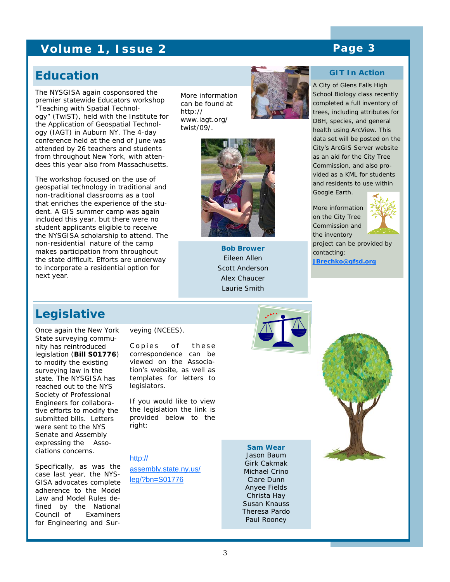### **Volume 1, Issue 2 Analytic Page 3 Analytic Page 3**

### **Education**

The NYSGISA again cosponsored the premier statewide Educators workshop "Teaching with Spatial Technology" (TwiST), held with the Institute for the Application of Geospatial Technology (IAGT) in Auburn NY. The 4-day conference held at the end of June was attended by 26 teachers and students from throughout New York, with attendees this year also from Massachusetts.

The workshop focused on the use of geospatial technology in traditional and non-traditional classrooms as a tool that enriches the experience of the student. A GIS summer camp was again included this year, but there were no student applicants eligible to receive the NYSGISA scholarship to attend. The non-residential nature of the camp makes participation from throughout the state difficult. Efforts are underway to incorporate a residential option for next year.

More information can be found at http:// www.iagt.org/ twist/09/.





**Bob Brower**  Eileen Allen Scott Anderson Alex Chaucer Laurie Smith



A City of Glens Falls High School Biology class recently completed a full inventory of trees, including attributes for DBH, species, and general health using ArcView. This data set will be posted on the City's ArcGIS Server website as an aid for the City Tree Commission, and also provided as a KML for students and residents to use within Google Earth.

More information on the City Tree Commission and the inventory contacting:



project can be provided by **JBrechko@gfsd.org**

### **Legislative**

Once again the New York State surveying community has reintroduced legislation (**Bill S01776**) to modify the existing surveying law in the state. The NYSGISA has reached out to the NYS Society of Professional Engineers for collaborative efforts to modify the submitted bills. Letters were sent to the NYS Senate and Assembly expressing the Associations concerns.

Specifically, as was the case last year, the NYS-GISA advocates complete adherence to the Model Law and Model Rules defined by the National Council of Examiners for Engineering and Surveying (NCEES).

Copies of these correspondence can be viewed on the Association's website, as well as templates for letters to legislators.

If you would like to view the legislation the link is provided below to the right:

http://

assembly.state.ny.us/ leg/?bn=S01776

Jason Baum Girk Cakmak Michael Crino Clare Dunn Anyee Fields Christa Hay Susan Knauss Theresa Pardo Paul Rooney

**Sam Wear** 

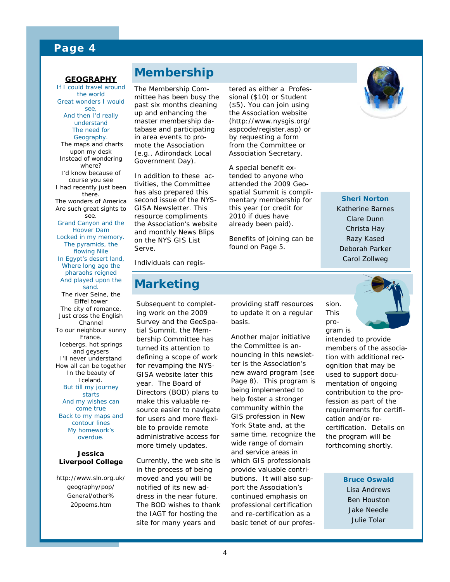#### **Page 4**

#### **GEOGRAPHY**

If I could travel around the world Great wonders I would see, And then I'd really understand The need for Geography. The maps and charts upon my desk Instead of wondering where? I'd know because of course you see I had recently just been there. The wonders of America Are such great sights to see. Grand Canyon and the Hoover Dam Locked in my memory. The pyramids, the flowing Nile In Egypt's desert land, Where long ago the pharaohs reigned And played upon the sand. The river Seine, the Eiffel tower The city of romance, Just cross the English Channel To our neighbour sunny France. Icebergs, hot springs and geysers I'll never understand How all can be together In the beauty of Iceland. But till my journey starts And my wishes can come true Back to my maps and contour lines My homework's overdue.

#### *Jessica Liverpool College*

http://www.sln.org.uk/ geography/pop/ General/other% 20poems.htm

### **Membership**

The Membership Committee has been busy the past six months cleaning up and enhancing the master membership database and participating in area events to promote the Association (e.g., Adirondack Local Government Day).

In addition to these activities, the Committee has also prepared this second issue of the NYS-GISA Newsletter. This resource compliments the Association's website and monthly News Blips on the NYS GIS List Serve.

tered as either a Professional (\$10) or Student (\$5). You can join using the Association website (http://www.nysgis.org/ aspcode/register.asp) or by requesting a form from the Committee or Association Secretary.

A special benefit extended to anyone who attended the 2009 Geospatial Summit is complimentary membership for this year (or credit for 2010 if dues have already been paid).

Benefits of joining can be found on Page 5.



Deborah Parker Carol Zollweg

Individuals can regis-

### **Marketing**

Subsequent to completing work on the 2009 Survey and the GeoSpatial Summit, the Membership Committee has turned its attention to defining a scope of work for revamping the NYS-GISA website later this year. The Board of Directors (BOD) plans to make this valuable resource easier to navigate for users and more flexible to provide remote administrative access for more timely updates.

Currently, the web site is in the process of being moved and you will be notified of its new address in the near future. The BOD wishes to thank the IAGT for hosting the site for many years and

providing staff resources to update it on a regular basis.

Another major initiative the Committee is announcing in this newsletter is the Association's new award program (see Page 8). This program is being implemented to help foster a stronger community within the GIS profession in New York State and, at the same time, recognize the wide range of domain and service areas in which GIS professionals provide valuable contributions. It will also support the Association's continued emphasis on professional certification and re-certification as a basic tenet of our profes-



sion. This pro-

intended to provide members of the association with additional recognition that may be used to support documentation of ongoing contribution to the profession as part of the requirements for certification and/or recertification. Details on the program will be forthcoming shortly.

> **Bruce Oswald**  Lisa Andrews Ben Houston Jake Needle Julie Tolar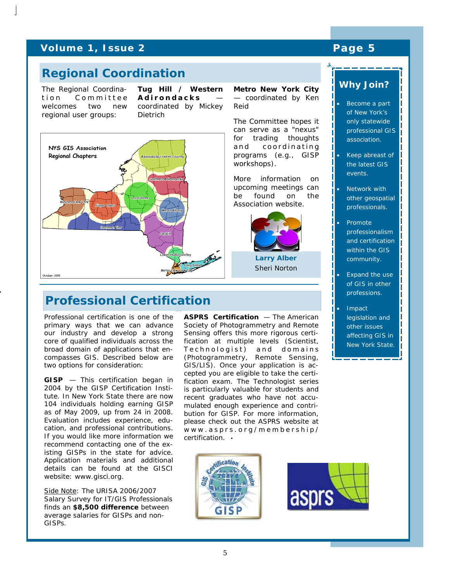#### **Volume 1, Issue 2 Analyzing The Page 5 Analyzing Page 5**

### **Regional Coordination**

The Regional Coordination Committee welcomes two new regional user groups:

**Tug Hill / Western Adirondacks**  coordinated by Mickey Dietrich



### **Professional Certification**

Professional certification is one of the primary ways that we can advance our industry and develop a strong core of qualified individuals across the broad domain of applications that encompasses GIS. Described below are two options for consideration:

**GISP** — This certification began in 2004 by the GISP Certification Institute. In New York State there are now 104 individuals holding earning GISP as of May 2009, up from 24 in 2008. Evaluation includes experience, education, and professional contributions. If you would like more information we recommend contacting one of the existing GISPs in the state for advice. Application materials and additional details can be found at the GISCI website: www.gisci.org.

Side Note: The *URISA 2006/2007 Salary Survey for IT/GIS Professionals* finds an **\$8,500 difference** between average salaries for GISPs and non-GISPs.

**ASPRS Certification — The American** Society of Photogrammetry and Remote Sensing offers this more rigorous certification at multiple levels (Scientist, Technologist) and domains (Photogrammetry, Remote Sensing, GIS/LIS). Once your application is accepted you are eligible to take the certification exam. The Technologist series is particularly valuable for students and recent graduates who have not accumulated enough experience and contribution for GISP. For more information, please check out the ASPRS website at www.asprs.org/membership/ certification.

**Metro New York City**  — coordinated by Ken

> **Larry Alber**  Sheri Norton

Reid





#### *Why Join??*

- Become a part of New York's only statewide professional GIS association.
- Keep abreast of the latest GIS events.
- **Network with** other geospatial professionals.
- Promote professionalism and certification within the GIS community.
- Expand the use of GIS in other professions.
- Impact legislation and other issues affecting GIS in New York State.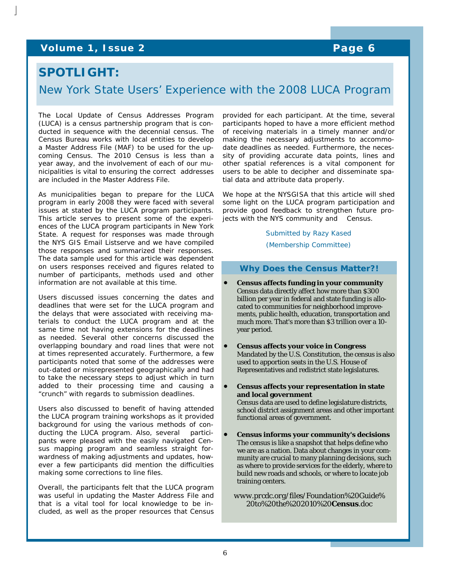### **Volume 1, Issue 2 Page 6**

### **SPOTLIGHT:**

### New York State Users' Experience with the 2008 LUCA Program

The Local Update of Census Addresses Program (LUCA) is a census partnership program that is conducted in sequence with the decennial census. The Census Bureau works with local entities to develop a Master Address File (MAF) to be used for the upcoming Census. The 2010 Census is less than a year away, and the involvement of each of our municipalities is vital to ensuring the correct addresses are included in the Master Address File.

As municipalities began to prepare for the LUCA program in early 2008 they were faced with several issues at stated by the LUCA program participants. This article serves to present some of the experiences of the LUCA program participants in New York State. A request for responses was made through the NYS GIS Email Listserve and we have compiled those responses and summarized their responses. The data sample used for this article was dependent on users responses received and figures related to number of participants, methods used and other information are not available at this time.

Users discussed issues concerning the dates and deadlines that were set for the LUCA program and the delays that were associated with receiving materials to conduct the LUCA program and at the same time not having extensions for the deadlines as needed. Several other concerns discussed the overlapping boundary and road lines that were not at times represented accurately. Furthermore, a few participants noted that some of the addresses were out-dated or misrepresented geographically and had to take the necessary steps to adjust which in turn added to their processing time and causing a "crunch" with regards to submission deadlines.

Users also discussed to benefit of having attended the LUCA program training workshops as it provided background for using the various methods of conducting the LUCA program. Also, several participants were pleased with the easily navigated Census mapping program and seamless straight forwardness of making adjustments and updates, however a few participants did mention the difficulties making some corrections to line files.

Overall, the participants felt that the LUCA program was useful in updating the Master Address File and that is a vital tool for local knowledge to be included, as well as the proper resources that Census

provided for each participant. At the time, several participants hoped to have a more efficient method of receiving materials in a timely manner and/or making the necessary adjustments to accommodate deadlines as needed. Furthermore, the necessity of providing accurate data points, lines and other spatial references is a vital component for users to be able to decipher and disseminate spatial data and attribute data properly.

We hope at the NYSGISA that this article will shed some light on the LUCA program participation and provide good feedback to strengthen future projects with the NYS community and Census.

#### *Submitted by Razy Kased*

*(Membership Committee)* 

#### **Why Does the Census Matter?!**

- **Census affects funding in your community** Census data directly affect how more than \$300 billion per year in federal and state funding is allocated to communities for neighborhood improvements, public health, education, transportation and much more. That's more than \$3 trillion over a 10 year period.
- **Census affects your voice in Congress**  Mandated by the U.S. Constitution, the census is also used to apportion seats in the U.S. House of Representatives and redistrict state legislatures.
- **Census affects your representation in state and local government**

Census data are used to define legislature districts, school district assignment areas and other important functional areas of government.

• **Census informs your community's decisions**  The census is like a snapshot that helps define who we are as a nation. Data about changes in your community are crucial to many planning decisions, such as where to provide services for the elderly, where to build new roads and schools, or where to locate job training centers.

*www.prcdc.org/files/Foundation%20Guide% 20to%20the%202010%20Census.doc*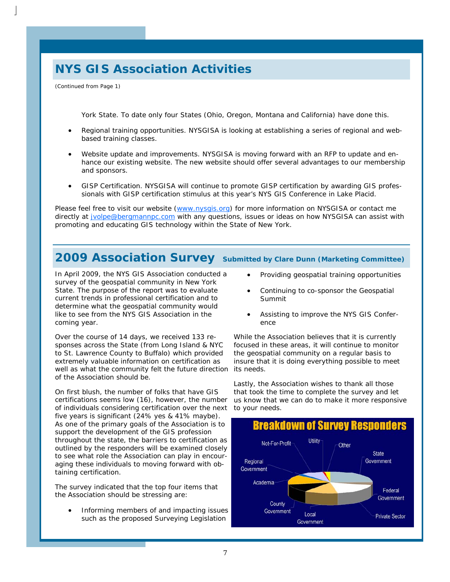## **NYS GIS Association Activities**

*(Continued from Page 1)* 

York State. To date only four States (Ohio, Oregon, Montana and California) have done this.

- Regional training opportunities. NYSGISA is looking at establishing a series of regional and webbased training classes.
- Website update and improvements. NYSGISA is moving forward with an RFP to update and enhance our existing website. The new website should offer several advantages to our membership and sponsors.
- GISP Certification. NYSGISA will continue to promote GISP certification by awarding GIS professionals with GISP certification stimulus at this year's NYS GIS Conference in Lake Placid.

Please feel free to visit our website (www.nysgis.org) for more information on NYSGISA or contact me directly at jvolpe@bergmannpc.com with any questions, issues or ideas on how NYSGISA can assist with promoting and educating GIS technology within the State of New York.

### **2009 Association Survey Submitted by Clare Dunn (Marketing Committee)**

**Community** determine what the geospatial community would Business **Development Coming year.** like to see from the NYS GIS Association in the Survey of the geospatial community in New York<br>
State. The purpose of the report was to evaluate In April 2009, the NYS GIS Association conducted a survey of the geospatial community in New York current trends in professional certification and to

**Conference Intereface Over the course of 14 days, we received 133 re**extremely valuable information on certification as of the Association should be. sponses across the State (from Long Island & NYC to St. Lawrence County to Buffalo) which provided well as what the community felt the future direction its needs.

certifications seems low (16), however, the number  $\blacksquare$  As one of the primary goals of the Association is to support the development of the GIS profession examined by the responders will be examined closely to see what role the Association can play in encour-On first blush, the number of folks that have GIS of individuals considering certification over the next to your needs. five years is significant (24% yes & 41% maybe). throughout the state, the barriers to certification as aging these individuals to moving forward with obtaining certification.

The survey indicated that the top four items that the Association should be stressing are:

• Informing members of and impacting issues such as the proposed Surveying Legislation

- Providing geospatial training opportunities
- Continuing to co-sponsor the Geospatial Summit
- Assisting to improve the NYS GIS Conference

While the Association believes that it is currently focused in these areas, it will continue to monitor the geospatial community on a regular basis to insure that it is doing everything possible to meet

Lastly, the Association wishes to thank all those that took the time to complete the survey and let us know that we can do to make it more responsive